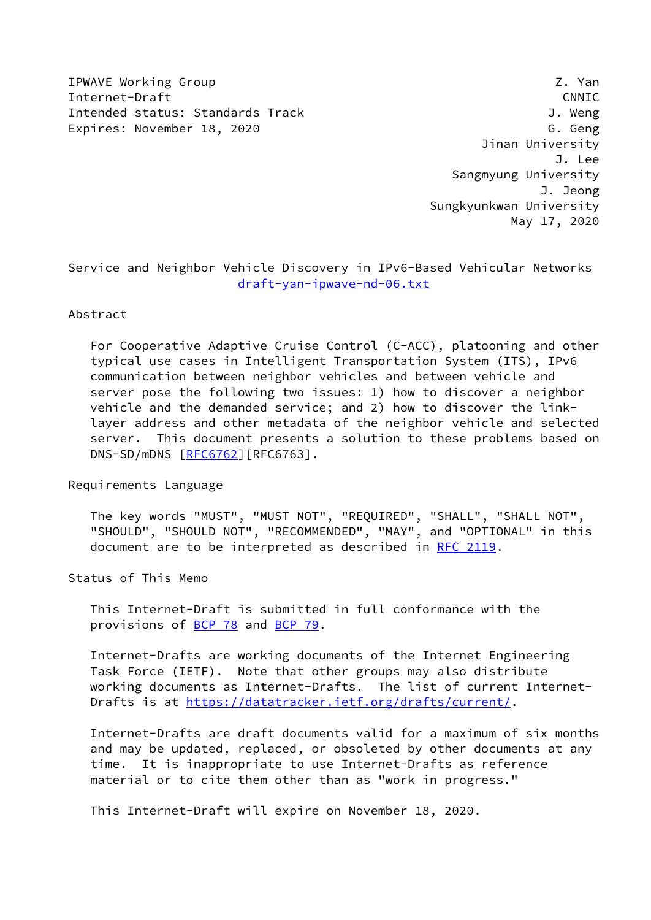IPWAVE Working Group **Z. Yan** Internet-Draft CNNIC Intended status: Standards Track J. Weng Expires: November 18, 2020 G. Geng

 Jinan University J. Lee Sangmyung University J. Jeong Sungkyunkwan University May 17, 2020

Service and Neighbor Vehicle Discovery in IPv6-Based Vehicular Networks [draft-yan-ipwave-nd-06.txt](https://datatracker.ietf.org/doc/pdf/draft-yan-ipwave-nd-06.txt)

### Abstract

 For Cooperative Adaptive Cruise Control (C-ACC), platooning and other typical use cases in Intelligent Transportation System (ITS), IPv6 communication between neighbor vehicles and between vehicle and server pose the following two issues: 1) how to discover a neighbor vehicle and the demanded service; and 2) how to discover the link layer address and other metadata of the neighbor vehicle and selected server. This document presents a solution to these problems based on DNS-SD/mDNS [\[RFC6762](https://datatracker.ietf.org/doc/pdf/rfc6762)][RFC6763].

Requirements Language

 The key words "MUST", "MUST NOT", "REQUIRED", "SHALL", "SHALL NOT", "SHOULD", "SHOULD NOT", "RECOMMENDED", "MAY", and "OPTIONAL" in this document are to be interpreted as described in [RFC 2119.](https://datatracker.ietf.org/doc/pdf/rfc2119)

Status of This Memo

 This Internet-Draft is submitted in full conformance with the provisions of [BCP 78](https://datatracker.ietf.org/doc/pdf/bcp78) and [BCP 79](https://datatracker.ietf.org/doc/pdf/bcp79).

 Internet-Drafts are working documents of the Internet Engineering Task Force (IETF). Note that other groups may also distribute working documents as Internet-Drafts. The list of current Internet Drafts is at<https://datatracker.ietf.org/drafts/current/>.

 Internet-Drafts are draft documents valid for a maximum of six months and may be updated, replaced, or obsoleted by other documents at any time. It is inappropriate to use Internet-Drafts as reference material or to cite them other than as "work in progress."

This Internet-Draft will expire on November 18, 2020.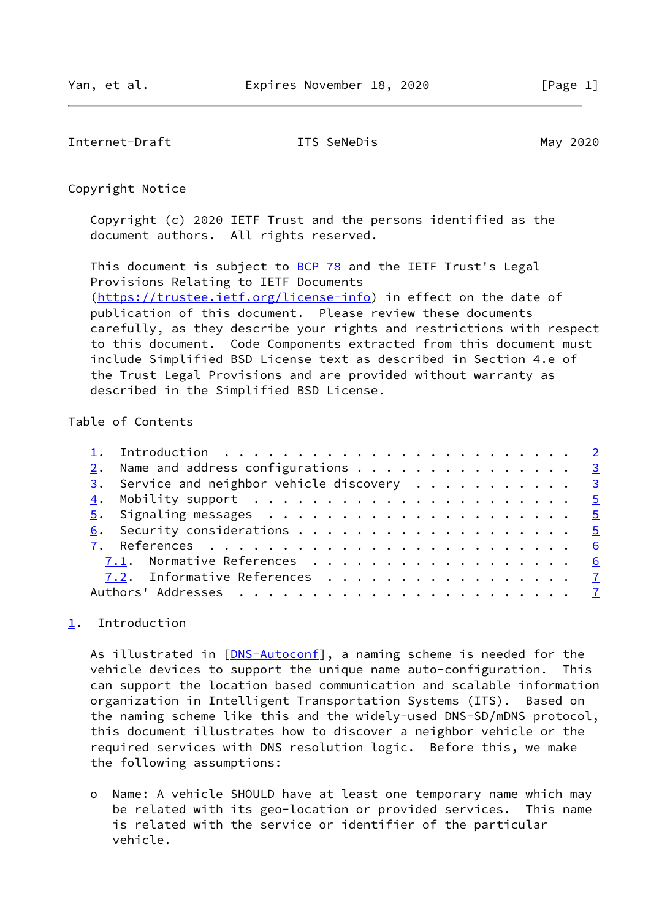<span id="page-1-1"></span>Internet-Draft **ITS SeNeDis ITS May 2020** 

Copyright Notice

 Copyright (c) 2020 IETF Trust and the persons identified as the document authors. All rights reserved.

This document is subject to **[BCP 78](https://datatracker.ietf.org/doc/pdf/bcp78)** and the IETF Trust's Legal Provisions Relating to IETF Documents [\(https://trustee.ietf.org/license-info](https://trustee.ietf.org/license-info)) in effect on the date of publication of this document. Please review these documents carefully, as they describe your rights and restrictions with respect to this document. Code Components extracted from this document must include Simplified BSD License text as described in Section 4.e of the Trust Legal Provisions and are provided without warranty as described in the Simplified BSD License.

## Table of Contents

|  | 2. Name and address configurations 3        |  |
|--|---------------------------------------------|--|
|  | 3. Service and neighbor vehicle discovery 3 |  |
|  |                                             |  |
|  |                                             |  |
|  |                                             |  |
|  |                                             |  |
|  | 7.1. Normative References 6                 |  |
|  | 7.2. Informative References 7               |  |
|  |                                             |  |
|  |                                             |  |

# <span id="page-1-0"></span>[1](#page-1-0). Introduction

As illustrated in [[DNS-Autoconf\]](#page-6-2), a naming scheme is needed for the vehicle devices to support the unique name auto-configuration. This can support the location based communication and scalable information organization in Intelligent Transportation Systems (ITS). Based on the naming scheme like this and the widely-used DNS-SD/mDNS protocol, this document illustrates how to discover a neighbor vehicle or the required services with DNS resolution logic. Before this, we make the following assumptions:

 o Name: A vehicle SHOULD have at least one temporary name which may be related with its geo-location or provided services. This name is related with the service or identifier of the particular vehicle.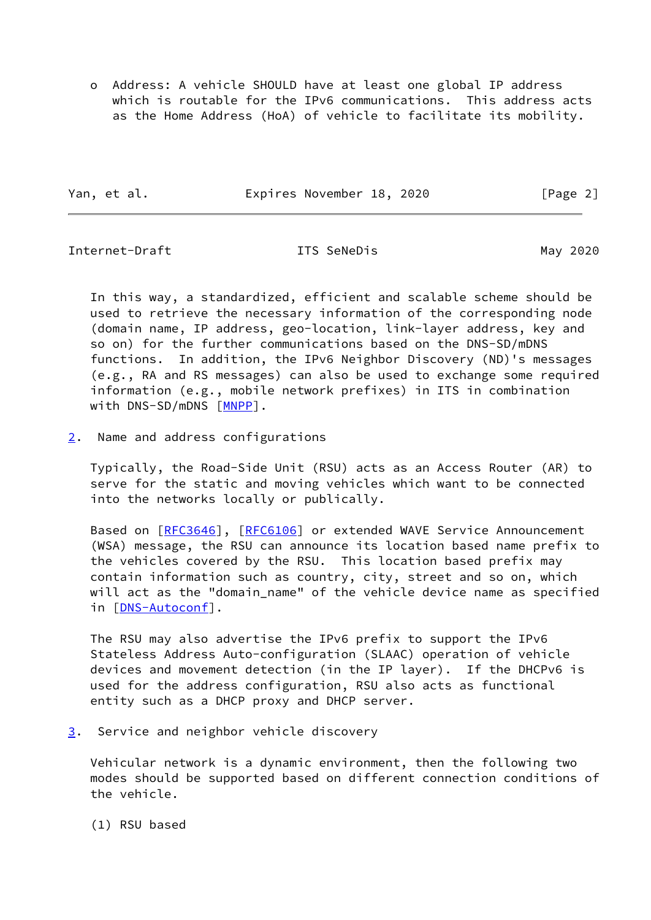o Address: A vehicle SHOULD have at least one global IP address which is routable for the IPv6 communications. This address acts as the Home Address (HoA) of vehicle to facilitate its mobility.

Yan, et al. **Expires November 18, 2020** [Page 2]

<span id="page-2-1"></span>Internet-Draft ITS SeNeDis May 2020

 In this way, a standardized, efficient and scalable scheme should be used to retrieve the necessary information of the corresponding node (domain name, IP address, geo-location, link-layer address, key and so on) for the further communications based on the DNS-SD/mDNS functions. In addition, the IPv6 Neighbor Discovery (ND)'s messages (e.g., RA and RS messages) can also be used to exchange some required information (e.g., mobile network prefixes) in ITS in combination with DNS-SD/mDNS [\[MNPP](#page-7-0)].

<span id="page-2-0"></span>[2](#page-2-0). Name and address configurations

 Typically, the Road-Side Unit (RSU) acts as an Access Router (AR) to serve for the static and moving vehicles which want to be connected into the networks locally or publically.

Based on [\[RFC3646](https://datatracker.ietf.org/doc/pdf/rfc3646)], [\[RFC6106](https://datatracker.ietf.org/doc/pdf/rfc6106)] or extended WAVE Service Announcement (WSA) message, the RSU can announce its location based name prefix to the vehicles covered by the RSU. This location based prefix may contain information such as country, city, street and so on, which will act as the "domain\_name" of the vehicle device name as specified in [[DNS-Autoconf\]](#page-6-2).

 The RSU may also advertise the IPv6 prefix to support the IPv6 Stateless Address Auto-configuration (SLAAC) operation of vehicle devices and movement detection (in the IP layer). If the DHCPv6 is used for the address configuration, RSU also acts as functional entity such as a DHCP proxy and DHCP server.

<span id="page-2-2"></span>[3](#page-2-2). Service and neighbor vehicle discovery

 Vehicular network is a dynamic environment, then the following two modes should be supported based on different connection conditions of the vehicle.

(1) RSU based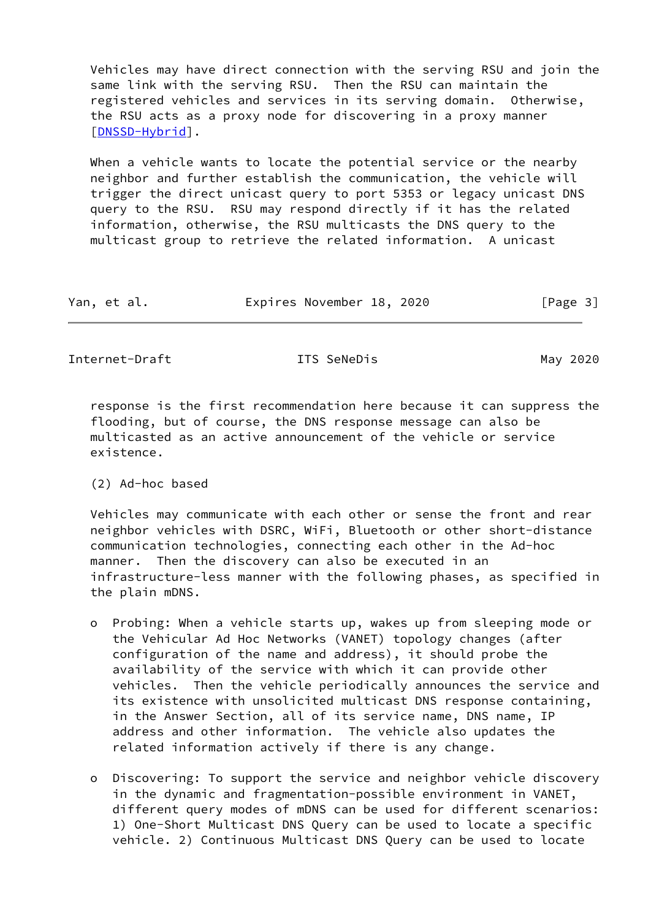Vehicles may have direct connection with the serving RSU and join the same link with the serving RSU. Then the RSU can maintain the registered vehicles and services in its serving domain. Otherwise, the RSU acts as a proxy node for discovering in a proxy manner [\[DNSSD-Hybrid](#page-7-1)].

 When a vehicle wants to locate the potential service or the nearby neighbor and further establish the communication, the vehicle will trigger the direct unicast query to port 5353 or legacy unicast DNS query to the RSU. RSU may respond directly if it has the related information, otherwise, the RSU multicasts the DNS query to the multicast group to retrieve the related information. A unicast

| Yan, et al. | Expires November 18, 2020 |  | [Page 3] |
|-------------|---------------------------|--|----------|
|-------------|---------------------------|--|----------|

Internet-Draft **ITS SeneDis ITS May 2020** 

 response is the first recommendation here because it can suppress the flooding, but of course, the DNS response message can also be multicasted as an active announcement of the vehicle or service existence.

(2) Ad-hoc based

 Vehicles may communicate with each other or sense the front and rear neighbor vehicles with DSRC, WiFi, Bluetooth or other short-distance communication technologies, connecting each other in the Ad-hoc manner. Then the discovery can also be executed in an infrastructure-less manner with the following phases, as specified in the plain mDNS.

- o Probing: When a vehicle starts up, wakes up from sleeping mode or the Vehicular Ad Hoc Networks (VANET) topology changes (after configuration of the name and address), it should probe the availability of the service with which it can provide other vehicles. Then the vehicle periodically announces the service and its existence with unsolicited multicast DNS response containing, in the Answer Section, all of its service name, DNS name, IP address and other information. The vehicle also updates the related information actively if there is any change.
- o Discovering: To support the service and neighbor vehicle discovery in the dynamic and fragmentation-possible environment in VANET, different query modes of mDNS can be used for different scenarios: 1) One-Short Multicast DNS Query can be used to locate a specific vehicle. 2) Continuous Multicast DNS Query can be used to locate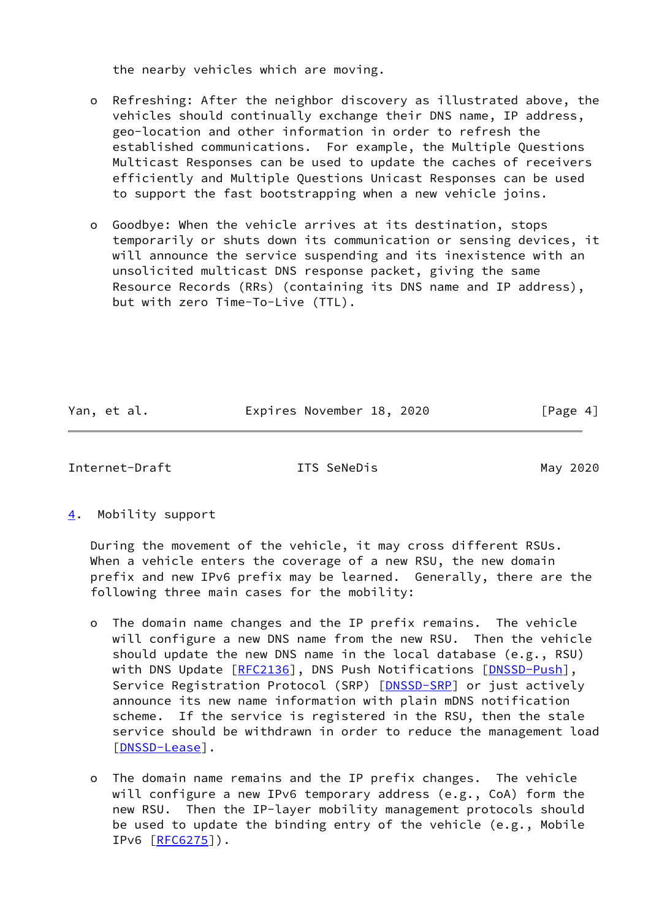the nearby vehicles which are moving.

 o Refreshing: After the neighbor discovery as illustrated above, the vehicles should continually exchange their DNS name, IP address, geo-location and other information in order to refresh the established communications. For example, the Multiple Questions Multicast Responses can be used to update the caches of receivers efficiently and Multiple Questions Unicast Responses can be used to support the fast bootstrapping when a new vehicle joins.

 o Goodbye: When the vehicle arrives at its destination, stops temporarily or shuts down its communication or sensing devices, it will announce the service suspending and its inexistence with an unsolicited multicast DNS response packet, giving the same Resource Records (RRs) (containing its DNS name and IP address), but with zero Time-To-Live (TTL).

Yan, et al. **Expires November 18, 2020** [Page 4]

<span id="page-4-1"></span>Internet-Draft **ITS SeNeDis ITS May 2020** 

<span id="page-4-0"></span>[4](#page-4-0). Mobility support

 During the movement of the vehicle, it may cross different RSUs. When a vehicle enters the coverage of a new RSU, the new domain prefix and new IPv6 prefix may be learned. Generally, there are the following three main cases for the mobility:

- o The domain name changes and the IP prefix remains. The vehicle will configure a new DNS name from the new RSU. Then the vehicle should update the new DNS name in the local database (e.g., RSU) with DNS Update [[RFC2136\]](https://datatracker.ietf.org/doc/pdf/rfc2136), DNS Push Notifications [\[DNSSD-Push\]](#page-7-2), Service Registration Protocol (SRP) [\[DNSSD-SRP](#page-7-3)] or just actively announce its new name information with plain mDNS notification scheme. If the service is registered in the RSU, then the stale service should be withdrawn in order to reduce the management load [[DNSSD-Lease\]](#page-7-4).
- o The domain name remains and the IP prefix changes. The vehicle will configure a new IPv6 temporary address (e.g., CoA) form the new RSU. Then the IP-layer mobility management protocols should be used to update the binding entry of the vehicle (e.g., Mobile IPv6 [\[RFC6275](https://datatracker.ietf.org/doc/pdf/rfc6275)]).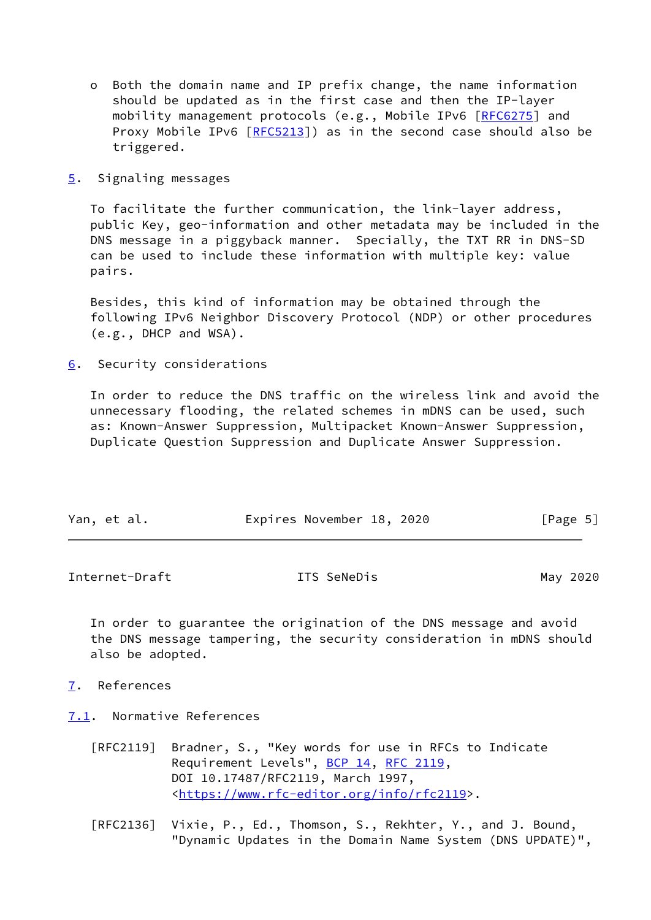- o Both the domain name and IP prefix change, the name information should be updated as in the first case and then the IP-layer mobility management protocols (e.g., Mobile IPv6 [\[RFC6275](https://datatracker.ietf.org/doc/pdf/rfc6275)] and Proxy Mobile IPv6 [\[RFC5213](https://datatracker.ietf.org/doc/pdf/rfc5213)]) as in the second case should also be triggered.
- <span id="page-5-0"></span>[5](#page-5-0). Signaling messages

 To facilitate the further communication, the link-layer address, public Key, geo-information and other metadata may be included in the DNS message in a piggyback manner. Specially, the TXT RR in DNS-SD can be used to include these information with multiple key: value pairs.

 Besides, this kind of information may be obtained through the following IPv6 Neighbor Discovery Protocol (NDP) or other procedures (e.g., DHCP and WSA).

<span id="page-5-1"></span>[6](#page-5-1). Security considerations

 In order to reduce the DNS traffic on the wireless link and avoid the unnecessary flooding, the related schemes in mDNS can be used, such as: Known-Answer Suppression, Multipacket Known-Answer Suppression, Duplicate Question Suppression and Duplicate Answer Suppression.

| Yan, et al. | Expires November 18, 2020 | [Page 5] |
|-------------|---------------------------|----------|
|-------------|---------------------------|----------|

<span id="page-5-3"></span>Internet-Draft **ITS SeNeDis ITS May 2020** 

 In order to guarantee the origination of the DNS message and avoid the DNS message tampering, the security consideration in mDNS should also be adopted.

- <span id="page-5-2"></span>[7](#page-5-2). References
- <span id="page-5-4"></span>[7.1](#page-5-4). Normative References
	- [RFC2119] Bradner, S., "Key words for use in RFCs to Indicate Requirement Levels", [BCP 14](https://datatracker.ietf.org/doc/pdf/bcp14), [RFC 2119](https://datatracker.ietf.org/doc/pdf/rfc2119), DOI 10.17487/RFC2119, March 1997, <[https://www.rfc-editor.org/info/rfc2119>](https://www.rfc-editor.org/info/rfc2119).
	- [RFC2136] Vixie, P., Ed., Thomson, S., Rekhter, Y., and J. Bound, "Dynamic Updates in the Domain Name System (DNS UPDATE)",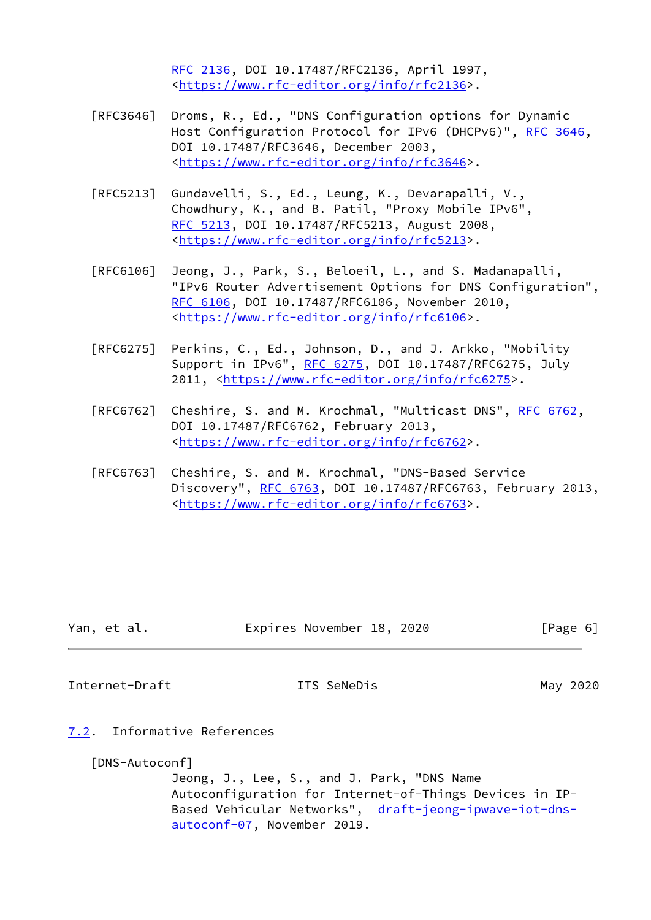[RFC 2136,](https://datatracker.ietf.org/doc/pdf/rfc2136) DOI 10.17487/RFC2136, April 1997, <[https://www.rfc-editor.org/info/rfc2136>](https://www.rfc-editor.org/info/rfc2136).

- [RFC3646] Droms, R., Ed., "DNS Configuration options for Dynamic Host Configuration Protocol for IPv6 (DHCPv6)", [RFC 3646,](https://datatracker.ietf.org/doc/pdf/rfc3646) DOI 10.17487/RFC3646, December 2003, <[https://www.rfc-editor.org/info/rfc3646>](https://www.rfc-editor.org/info/rfc3646).
- [RFC5213] Gundavelli, S., Ed., Leung, K., Devarapalli, V., Chowdhury, K., and B. Patil, "Proxy Mobile IPv6", [RFC 5213,](https://datatracker.ietf.org/doc/pdf/rfc5213) DOI 10.17487/RFC5213, August 2008, <[https://www.rfc-editor.org/info/rfc5213>](https://www.rfc-editor.org/info/rfc5213).
- [RFC6106] Jeong, J., Park, S., Beloeil, L., and S. Madanapalli, "IPv6 Router Advertisement Options for DNS Configuration", [RFC 6106,](https://datatracker.ietf.org/doc/pdf/rfc6106) DOI 10.17487/RFC6106, November 2010, <[https://www.rfc-editor.org/info/rfc6106>](https://www.rfc-editor.org/info/rfc6106).
- [RFC6275] Perkins, C., Ed., Johnson, D., and J. Arkko, "Mobility Support in IPv6", [RFC 6275](https://datatracker.ietf.org/doc/pdf/rfc6275), DOI 10.17487/RFC6275, July 2011, [<https://www.rfc-editor.org/info/rfc6275](https://www.rfc-editor.org/info/rfc6275)>.
- [RFC6762] Cheshire, S. and M. Krochmal, "Multicast DNS", [RFC 6762](https://datatracker.ietf.org/doc/pdf/rfc6762), DOI 10.17487/RFC6762, February 2013, <[https://www.rfc-editor.org/info/rfc6762>](https://www.rfc-editor.org/info/rfc6762).
- [RFC6763] Cheshire, S. and M. Krochmal, "DNS-Based Service Discovery", [RFC 6763,](https://datatracker.ietf.org/doc/pdf/rfc6763) DOI 10.17487/RFC6763, February 2013, <[https://www.rfc-editor.org/info/rfc6763>](https://www.rfc-editor.org/info/rfc6763).

| Yan, et al. |  | Expires November 18, 2020 |  |  | [Page 6] |  |
|-------------|--|---------------------------|--|--|----------|--|
|-------------|--|---------------------------|--|--|----------|--|

<span id="page-6-1"></span>Internet-Draft **ITS SeNeDis ITS May 2020** 

<span id="page-6-0"></span>[7.2](#page-6-0). Informative References

<span id="page-6-2"></span>[DNS-Autoconf]

 Jeong, J., Lee, S., and J. Park, "DNS Name Autoconfiguration for Internet-of-Things Devices in IP Based Vehicular Networks", [draft-jeong-ipwave-iot-dns](https://datatracker.ietf.org/doc/pdf/draft-jeong-ipwave-iot-dns-autoconf-07) [autoconf-07](https://datatracker.ietf.org/doc/pdf/draft-jeong-ipwave-iot-dns-autoconf-07), November 2019.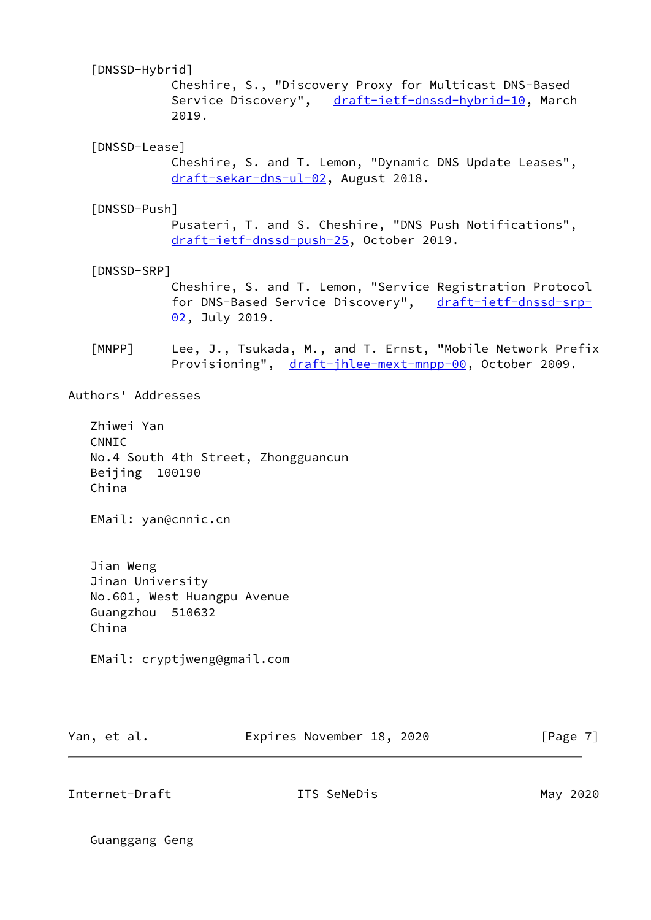# <span id="page-7-1"></span>[DNSSD-Hybrid]

 Cheshire, S., "Discovery Proxy for Multicast DNS-Based Service Discovery", [draft-ietf-dnssd-hybrid-10,](https://datatracker.ietf.org/doc/pdf/draft-ietf-dnssd-hybrid-10) March 2019.

## <span id="page-7-4"></span>[DNSSD-Lease]

 Cheshire, S. and T. Lemon, "Dynamic DNS Update Leases", [draft-sekar-dns-ul-02,](https://datatracker.ietf.org/doc/pdf/draft-sekar-dns-ul-02) August 2018.

## <span id="page-7-2"></span>[DNSSD-Push]

 Pusateri, T. and S. Cheshire, "DNS Push Notifications", [draft-ietf-dnssd-push-25,](https://datatracker.ietf.org/doc/pdf/draft-ietf-dnssd-push-25) October 2019.

## <span id="page-7-3"></span>[DNSSD-SRP]

 Cheshire, S. and T. Lemon, "Service Registration Protocol for DNS-Based Service Discovery", [draft-ietf-dnssd-srp-](https://datatracker.ietf.org/doc/pdf/draft-ietf-dnssd-srp-02) [02,](https://datatracker.ietf.org/doc/pdf/draft-ietf-dnssd-srp-02) July 2019.

<span id="page-7-0"></span>[MNPP] Lee, J., Tsukada, M., and T. Ernst, "Mobile Network Prefix Provisioning", [draft-jhlee-mext-mnpp-00,](https://datatracker.ietf.org/doc/pdf/draft-jhlee-mext-mnpp-00) October 2009.

#### Authors' Addresses

 Zhiwei Yan CNNIC No.4 South 4th Street, Zhongguancun Beijing 100190 China

EMail: yan@cnnic.cn

 Jian Weng Jinan University No.601, West Huangpu Avenue Guangzhou 510632 China

EMail: cryptjweng@gmail.com

| Yan, et al. | Expires November 18, 2020 | [Page 7] |
|-------------|---------------------------|----------|
|             |                           |          |

Internet-Draft ITS SeNeDis May 2020

Guanggang Geng